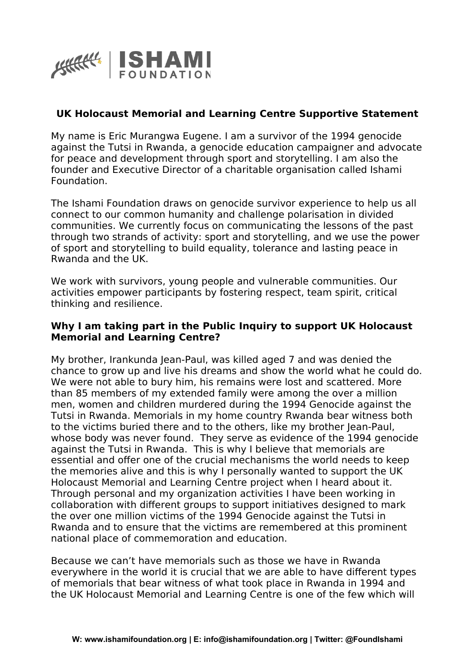

## **UK Holocaust Memorial and Learning Centre Supportive Statement**

My name is Eric Murangwa Eugene. I am a survivor of the 1994 genocide against the Tutsi in Rwanda, a genocide education campaigner and advocate for peace and development through sport and storytelling. I am also the founder and Executive Director of a charitable organisation called Ishami Foundation.

The Ishami Foundation draws on genocide survivor experience to help us all connect to our common humanity and challenge polarisation in divided communities. We currently focus on communicating the lessons of the past through two strands of activity: sport and storytelling, and we use the power of sport and storytelling to build equality, tolerance and lasting peace in Rwanda and the UK.

We work with survivors, young people and vulnerable communities. Our activities empower participants by fostering respect, team spirit, critical thinking and resilience.

## **Why I am taking part in the Public Inquiry to support UK Holocaust Memorial and Learning Centre?**

My brother, Irankunda Jean-Paul, was killed aged 7 and was denied the chance to grow up and live his dreams and show the world what he could do. We were not able to bury him, his remains were lost and scattered. More than 85 members of my extended family were among the over a million men, women and children murdered during the 1994 Genocide against the Tutsi in Rwanda. Memorials in my home country Rwanda bear witness both to the victims buried there and to the others, like my brother Jean-Paul, whose body was never found. They serve as evidence of the 1994 genocide against the Tutsi in Rwanda. This is why I believe that memorials are essential and offer one of the crucial mechanisms the world needs to keep the memories alive and this is why I personally wanted to support the UK Holocaust Memorial and Learning Centre project when I heard about it. Through personal and my organization activities I have been working in collaboration with different groups to support initiatives designed to mark the over one million victims of the 1994 Genocide against the Tutsi in Rwanda and to ensure that the victims are remembered at this prominent national place of commemoration and education.

Because we can't have memorials such as those we have in Rwanda everywhere in the world it is crucial that we are able to have different types of memorials that bear witness of what took place in Rwanda in 1994 and the UK Holocaust Memorial and Learning Centre is one of the few which will